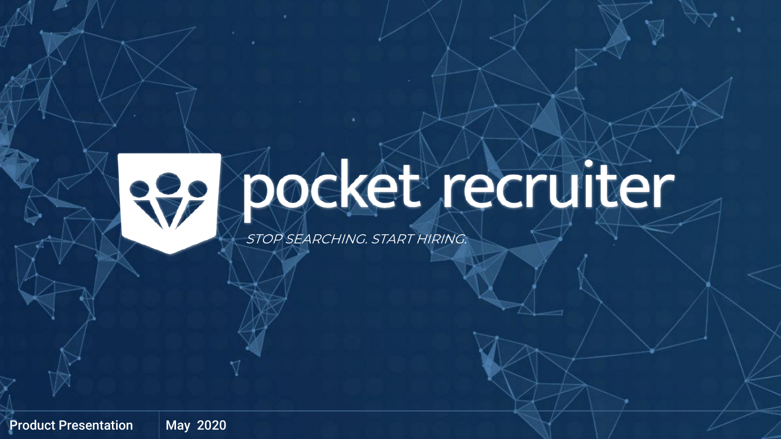

# **Pe pocket recruiter**

STOP SEARCHING. START HIRING.

Product Presentation | May 2020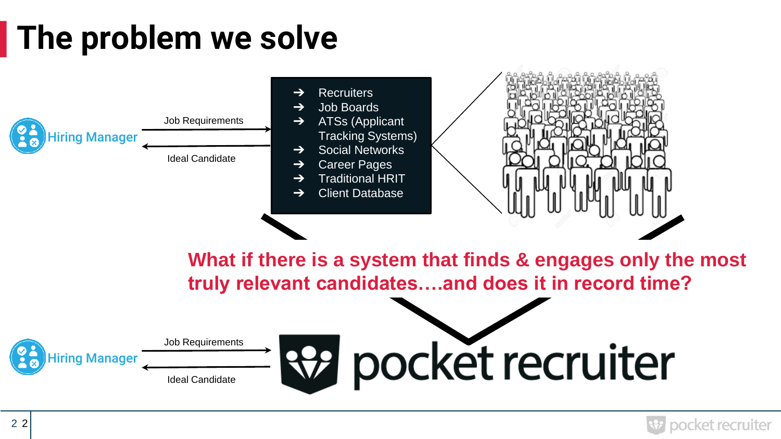## **The problem we solve**

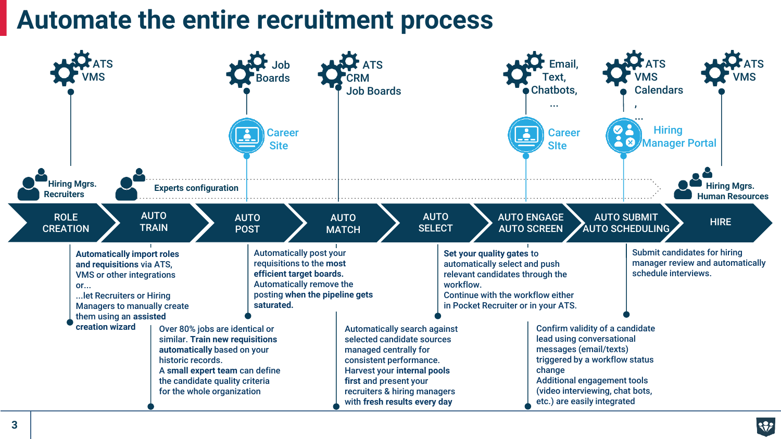#### **Automate the entire recruitment process**